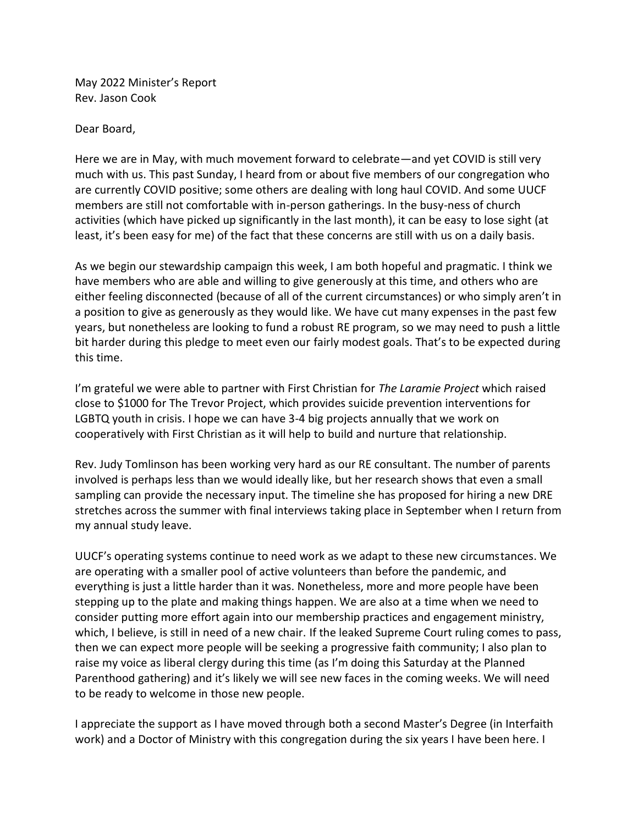May 2022 Minister's Report Rev. Jason Cook

Dear Board,

Here we are in May, with much movement forward to celebrate—and yet COVID is still very much with us. This past Sunday, I heard from or about five members of our congregation who are currently COVID positive; some others are dealing with long haul COVID. And some UUCF members are still not comfortable with in-person gatherings. In the busy-ness of church activities (which have picked up significantly in the last month), it can be easy to lose sight (at least, it's been easy for me) of the fact that these concerns are still with us on a daily basis.

As we begin our stewardship campaign this week, I am both hopeful and pragmatic. I think we have members who are able and willing to give generously at this time, and others who are either feeling disconnected (because of all of the current circumstances) or who simply aren't in a position to give as generously as they would like. We have cut many expenses in the past few years, but nonetheless are looking to fund a robust RE program, so we may need to push a little bit harder during this pledge to meet even our fairly modest goals. That's to be expected during this time.

I'm grateful we were able to partner with First Christian for *The Laramie Project* which raised close to \$1000 for The Trevor Project, which provides suicide prevention interventions for LGBTQ youth in crisis. I hope we can have 3-4 big projects annually that we work on cooperatively with First Christian as it will help to build and nurture that relationship.

Rev. Judy Tomlinson has been working very hard as our RE consultant. The number of parents involved is perhaps less than we would ideally like, but her research shows that even a small sampling can provide the necessary input. The timeline she has proposed for hiring a new DRE stretches across the summer with final interviews taking place in September when I return from my annual study leave.

UUCF's operating systems continue to need work as we adapt to these new circumstances. We are operating with a smaller pool of active volunteers than before the pandemic, and everything is just a little harder than it was. Nonetheless, more and more people have been stepping up to the plate and making things happen. We are also at a time when we need to consider putting more effort again into our membership practices and engagement ministry, which, I believe, is still in need of a new chair. If the leaked Supreme Court ruling comes to pass, then we can expect more people will be seeking a progressive faith community; I also plan to raise my voice as liberal clergy during this time (as I'm doing this Saturday at the Planned Parenthood gathering) and it's likely we will see new faces in the coming weeks. We will need to be ready to welcome in those new people.

I appreciate the support as I have moved through both a second Master's Degree (in Interfaith work) and a Doctor of Ministry with this congregation during the six years I have been here. I